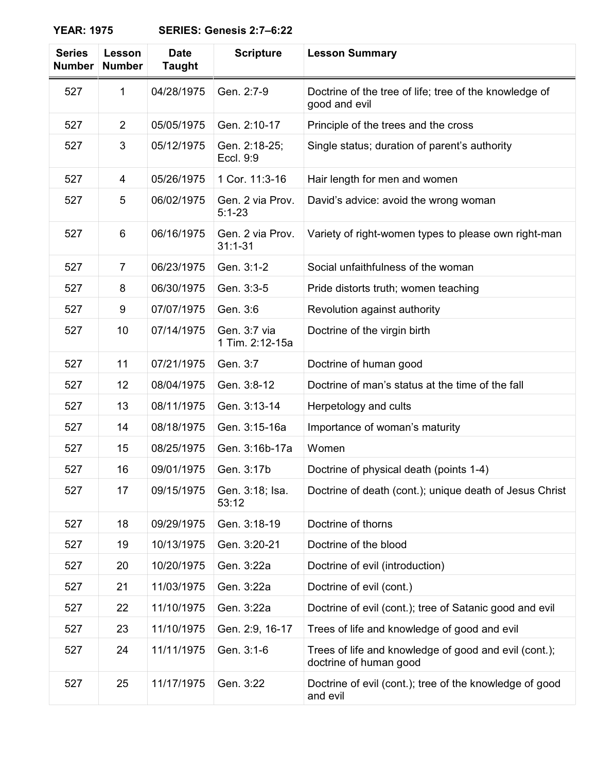## **YEAR: 1975 SERIES: Genesis 2:7–6:22**

| <b>Series</b><br><b>Number</b> | <b>Lesson</b><br><b>Number</b> | <b>Date</b><br><b>Taught</b> | <b>Scripture</b>                | <b>Lesson Summary</b>                                                           |
|--------------------------------|--------------------------------|------------------------------|---------------------------------|---------------------------------------------------------------------------------|
| 527                            | 1                              | 04/28/1975                   | Gen. 2:7-9                      | Doctrine of the tree of life; tree of the knowledge of<br>good and evil         |
| 527                            | $\overline{2}$                 | 05/05/1975                   | Gen. 2:10-17                    | Principle of the trees and the cross                                            |
| 527                            | 3                              | 05/12/1975                   | Gen. 2:18-25;<br>Eccl. 9:9      | Single status; duration of parent's authority                                   |
| 527                            | 4                              | 05/26/1975                   | 1 Cor. 11:3-16                  | Hair length for men and women                                                   |
| 527                            | 5                              | 06/02/1975                   | Gen. 2 via Prov.<br>$5:1 - 23$  | David's advice: avoid the wrong woman                                           |
| 527                            | 6                              | 06/16/1975                   | Gen. 2 via Prov.<br>$31:1 - 31$ | Variety of right-women types to please own right-man                            |
| 527                            | $\overline{7}$                 | 06/23/1975                   | Gen. 3:1-2                      | Social unfaithfulness of the woman                                              |
| 527                            | 8                              | 06/30/1975                   | Gen. 3:3-5                      | Pride distorts truth; women teaching                                            |
| 527                            | 9                              | 07/07/1975                   | Gen. 3:6                        | Revolution against authority                                                    |
| 527                            | 10                             | 07/14/1975                   | Gen. 3:7 via<br>1 Tim. 2:12-15a | Doctrine of the virgin birth                                                    |
| 527                            | 11                             | 07/21/1975                   | Gen. 3:7                        | Doctrine of human good                                                          |
| 527                            | 12                             | 08/04/1975                   | Gen. 3:8-12                     | Doctrine of man's status at the time of the fall                                |
| 527                            | 13                             | 08/11/1975                   | Gen. 3:13-14                    | Herpetology and cults                                                           |
| 527                            | 14                             | 08/18/1975                   | Gen. 3:15-16a                   | Importance of woman's maturity                                                  |
| 527                            | 15                             | 08/25/1975                   | Gen. 3:16b-17a                  | Women                                                                           |
| 527                            | 16                             | 09/01/1975                   | Gen. 3:17b                      | Doctrine of physical death (points 1-4)                                         |
| 527                            | 17                             | 09/15/1975                   | Gen. 3:18; Isa.<br>53:12        | Doctrine of death (cont.); unique death of Jesus Christ                         |
| 527                            | 18                             | 09/29/1975                   | Gen. 3:18-19                    | Doctrine of thorns                                                              |
| 527                            | 19                             | 10/13/1975                   | Gen. 3:20-21                    | Doctrine of the blood                                                           |
| 527                            | 20                             | 10/20/1975                   | Gen. 3:22a                      | Doctrine of evil (introduction)                                                 |
| 527                            | 21                             | 11/03/1975                   | Gen. 3:22a                      | Doctrine of evil (cont.)                                                        |
| 527                            | 22                             | 11/10/1975                   | Gen. 3:22a                      | Doctrine of evil (cont.); tree of Satanic good and evil                         |
| 527                            | 23                             | 11/10/1975                   | Gen. 2:9, 16-17                 | Trees of life and knowledge of good and evil                                    |
| 527                            | 24                             | 11/11/1975                   | Gen. 3:1-6                      | Trees of life and knowledge of good and evil (cont.);<br>doctrine of human good |
| 527                            | 25                             | 11/17/1975                   | Gen. 3:22                       | Doctrine of evil (cont.); tree of the knowledge of good<br>and evil             |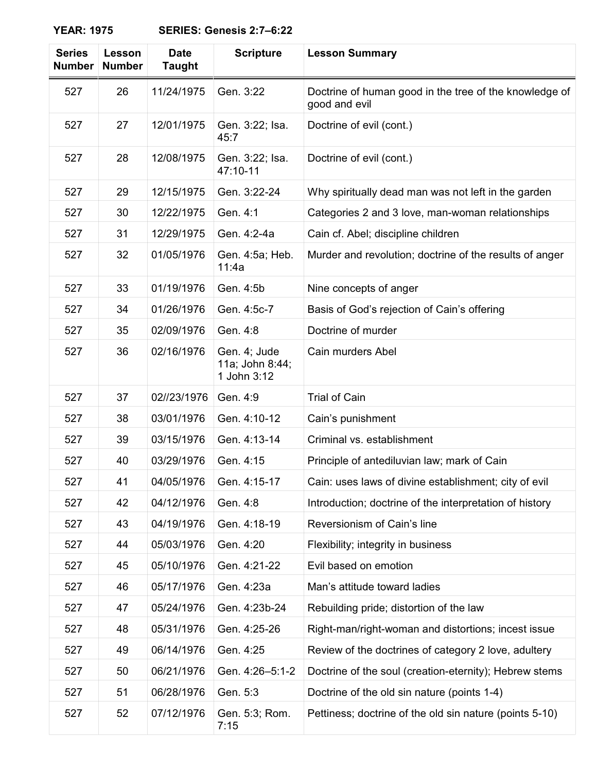## **YEAR: 1975 SERIES: Genesis 2:7–6:22**

| <b>Series</b><br><b>Number</b> | Lesson<br><b>Number</b> | <b>Date</b><br><b>Taught</b> | <b>Scripture</b>                               | <b>Lesson Summary</b>                                                   |
|--------------------------------|-------------------------|------------------------------|------------------------------------------------|-------------------------------------------------------------------------|
| 527                            | 26                      | 11/24/1975                   | Gen. 3:22                                      | Doctrine of human good in the tree of the knowledge of<br>good and evil |
| 527                            | 27                      | 12/01/1975                   | Gen. 3:22; Isa.<br>45:7                        | Doctrine of evil (cont.)                                                |
| 527                            | 28                      | 12/08/1975                   | Gen. 3:22; Isa.<br>47:10-11                    | Doctrine of evil (cont.)                                                |
| 527                            | 29                      | 12/15/1975                   | Gen. 3:22-24                                   | Why spiritually dead man was not left in the garden                     |
| 527                            | 30                      | 12/22/1975                   | Gen. 4:1                                       | Categories 2 and 3 love, man-woman relationships                        |
| 527                            | 31                      | 12/29/1975                   | Gen. 4:2-4a                                    | Cain cf. Abel; discipline children                                      |
| 527                            | 32                      | 01/05/1976                   | Gen. 4:5a; Heb.<br>11:4a                       | Murder and revolution; doctrine of the results of anger                 |
| 527                            | 33                      | 01/19/1976                   | Gen. 4:5b                                      | Nine concepts of anger                                                  |
| 527                            | 34                      | 01/26/1976                   | Gen. 4:5c-7                                    | Basis of God's rejection of Cain's offering                             |
| 527                            | 35                      | 02/09/1976                   | Gen. 4:8                                       | Doctrine of murder                                                      |
| 527                            | 36                      | 02/16/1976                   | Gen. 4; Jude<br>11a; John 8:44;<br>1 John 3:12 | Cain murders Abel                                                       |
| 527                            | 37                      | 02//23/1976                  | Gen. 4:9                                       | <b>Trial of Cain</b>                                                    |
| 527                            | 38                      | 03/01/1976                   | Gen. 4:10-12                                   | Cain's punishment                                                       |
| 527                            | 39                      | 03/15/1976                   | Gen. 4:13-14                                   | Criminal vs. establishment                                              |
| 527                            | 40                      | 03/29/1976                   | Gen. 4:15                                      | Principle of antediluvian law; mark of Cain                             |
| 527                            | 41                      | 04/05/1976                   | Gen. 4:15-17                                   | Cain: uses laws of divine establishment; city of evil                   |
| 527                            | 42                      | 04/12/1976                   | Gen. 4:8                                       | Introduction; doctrine of the interpretation of history                 |
| 527                            | 43                      | 04/19/1976                   | Gen. 4:18-19                                   | Reversionism of Cain's line                                             |
| 527                            | 44                      | 05/03/1976                   | Gen. 4:20                                      | Flexibility; integrity in business                                      |
| 527                            | 45                      | 05/10/1976                   | Gen. 4:21-22                                   | Evil based on emotion                                                   |
| 527                            | 46                      | 05/17/1976                   | Gen. 4:23a                                     | Man's attitude toward ladies                                            |
| 527                            | 47                      | 05/24/1976                   | Gen. 4:23b-24                                  | Rebuilding pride; distortion of the law                                 |
| 527                            | 48                      | 05/31/1976                   | Gen. 4:25-26                                   | Right-man/right-woman and distortions; incest issue                     |
| 527                            | 49                      | 06/14/1976                   | Gen. 4:25                                      | Review of the doctrines of category 2 love, adultery                    |
| 527                            | 50                      | 06/21/1976                   | Gen. 4:26-5:1-2                                | Doctrine of the soul (creation-eternity); Hebrew stems                  |
| 527                            | 51                      | 06/28/1976                   | Gen. 5:3                                       | Doctrine of the old sin nature (points 1-4)                             |
| 527                            | 52                      | 07/12/1976                   | Gen. 5:3; Rom.<br>7:15                         | Pettiness; doctrine of the old sin nature (points 5-10)                 |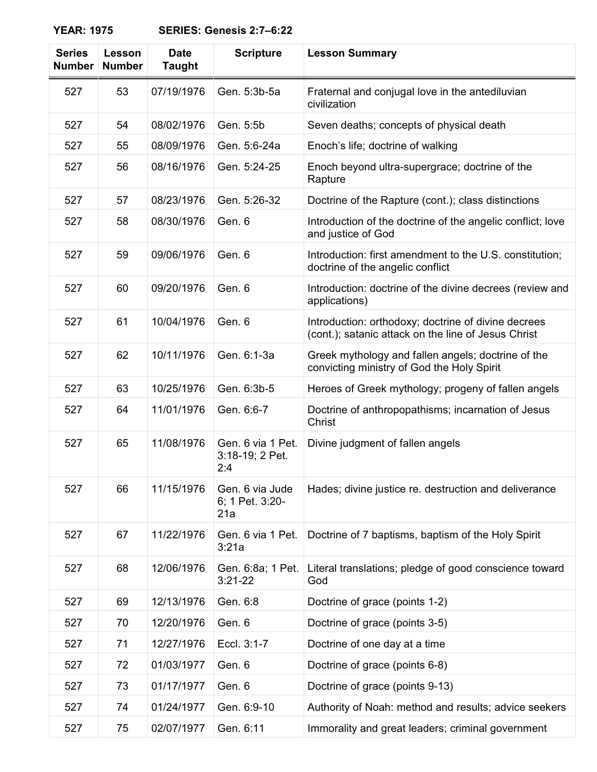## **YEAR: 1975 SERIES: Genesis 2:7–6:22**

| <b>Series</b><br><b>Number</b> | Lesson<br><b>Number</b> | <b>Date</b><br><b>Taught</b> | <b>Scripture</b>                            | <b>Lesson Summary</b>                                                                                      |
|--------------------------------|-------------------------|------------------------------|---------------------------------------------|------------------------------------------------------------------------------------------------------------|
| 527                            | 53                      | 07/19/1976                   | Gen. 5:3b-5a                                | Fraternal and conjugal love in the antediluvian<br>civilization                                            |
| 527                            | 54                      | 08/02/1976                   | Gen. 5:5b                                   | Seven deaths; concepts of physical death                                                                   |
| 527                            | 55                      | 08/09/1976                   | Gen. 5:6-24a                                | Enoch's life; doctrine of walking                                                                          |
| 527                            | 56                      | 08/16/1976                   | Gen. 5:24-25                                | Enoch beyond ultra-supergrace; doctrine of the<br>Rapture                                                  |
| 527                            | 57                      | 08/23/1976                   | Gen. 5:26-32                                | Doctrine of the Rapture (cont.); class distinctions                                                        |
| 527                            | 58                      | 08/30/1976                   | Gen. 6                                      | Introduction of the doctrine of the angelic conflict; love<br>and justice of God                           |
| 527                            | 59                      | 09/06/1976                   | Gen. 6                                      | Introduction: first amendment to the U.S. constitution;<br>doctrine of the angelic conflict                |
| 527                            | 60                      | 09/20/1976                   | Gen. 6                                      | Introduction: doctrine of the divine decrees (review and<br>applications)                                  |
| 527                            | 61                      | 10/04/1976                   | Gen. 6                                      | Introduction: orthodoxy; doctrine of divine decrees<br>(cont.); satanic attack on the line of Jesus Christ |
| 527                            | 62                      | 10/11/1976                   | Gen. 6:1-3a                                 | Greek mythology and fallen angels; doctrine of the<br>convicting ministry of God the Holy Spirit           |
| 527                            | 63                      | 10/25/1976                   | Gen. 6:3b-5                                 | Heroes of Greek mythology; progeny of fallen angels                                                        |
| 527                            | 64                      | 11/01/1976                   | Gen. 6:6-7                                  | Doctrine of anthropopathisms; incarnation of Jesus<br>Christ                                               |
| 527                            | 65                      | 11/08/1976                   | Gen. 6 via 1 Pet.<br>3:18-19; 2 Pet.<br>2:4 | Divine judgment of fallen angels                                                                           |
| 527                            | 66                      | 11/15/1976                   | Gen. 6 via Jude<br>6; 1 Pet. 3:20-<br>21a   | Hades; divine justice re. destruction and deliverance                                                      |
| 527                            | 67                      | 11/22/1976                   | Gen. 6 via 1 Pet.<br>3:21a                  | Doctrine of 7 baptisms, baptism of the Holy Spirit                                                         |
| 527                            | 68                      | 12/06/1976                   | Gen. 6:8a; 1 Pet.<br>$3:21 - 22$            | Literal translations; pledge of good conscience toward<br>God                                              |
| 527                            | 69                      | 12/13/1976                   | Gen. 6:8                                    | Doctrine of grace (points 1-2)                                                                             |
| 527                            | 70                      | 12/20/1976                   | Gen. 6                                      | Doctrine of grace (points 3-5)                                                                             |
| 527                            | 71                      | 12/27/1976                   | Eccl. 3:1-7                                 | Doctrine of one day at a time                                                                              |
| 527                            | 72                      | 01/03/1977                   | Gen. 6                                      | Doctrine of grace (points 6-8)                                                                             |
| 527                            | 73                      | 01/17/1977                   | Gen. 6                                      | Doctrine of grace (points 9-13)                                                                            |
| 527                            | 74                      | 01/24/1977                   | Gen. 6:9-10                                 | Authority of Noah: method and results; advice seekers                                                      |
| 527                            | 75                      | 02/07/1977                   | Gen. 6:11                                   | Immorality and great leaders; criminal government                                                          |